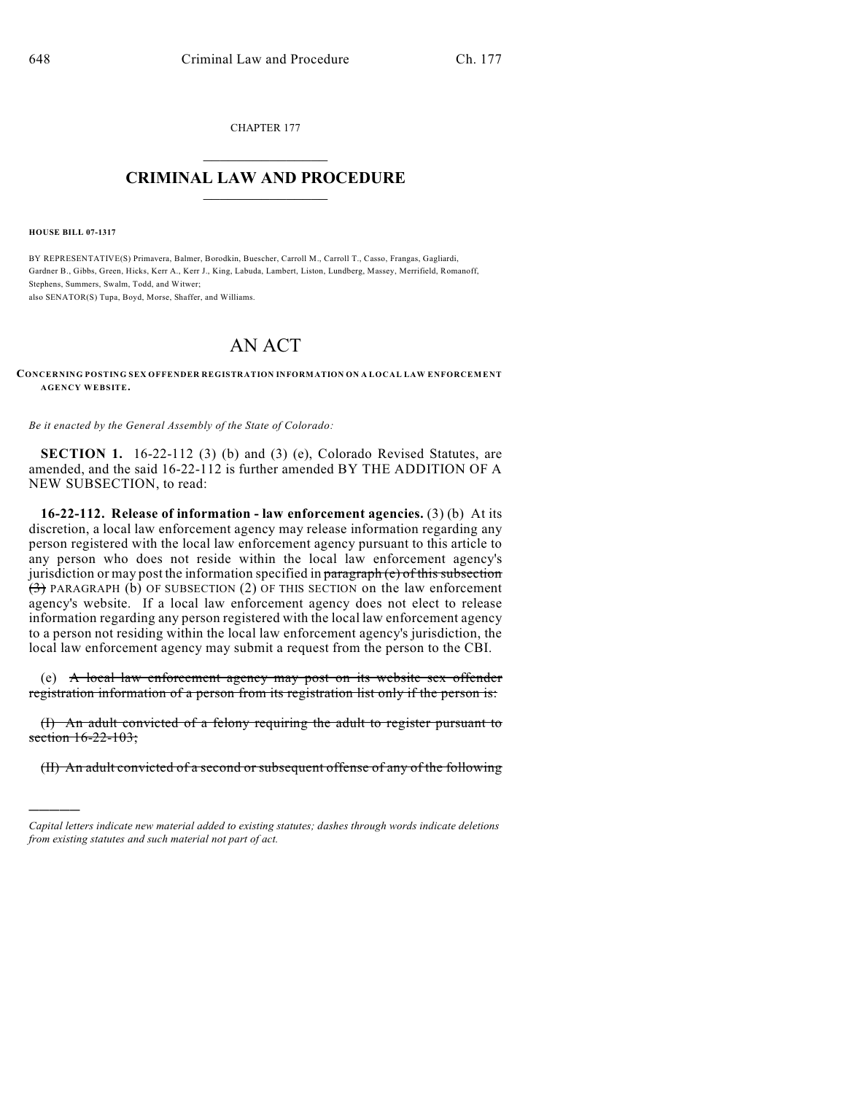CHAPTER 177  $\overline{\phantom{a}}$  . The set of the set of the set of the set of the set of the set of the set of the set of the set of the set of the set of the set of the set of the set of the set of the set of the set of the set of the set o

## **CRIMINAL LAW AND PROCEDURE**  $\frac{1}{2}$  ,  $\frac{1}{2}$  ,  $\frac{1}{2}$  ,  $\frac{1}{2}$  ,  $\frac{1}{2}$  ,  $\frac{1}{2}$  ,  $\frac{1}{2}$

**HOUSE BILL 07-1317**

)))))

BY REPRESENTATIVE(S) Primavera, Balmer, Borodkin, Buescher, Carroll M., Carroll T., Casso, Frangas, Gagliardi, Gardner B., Gibbs, Green, Hicks, Kerr A., Kerr J., King, Labuda, Lambert, Liston, Lundberg, Massey, Merrifield, Romanoff, Stephens, Summers, Swalm, Todd, and Witwer;

also SENATOR(S) Tupa, Boyd, Morse, Shaffer, and Williams.

## AN ACT

## **CONCERNING POSTING SEX OFFENDER REGISTRATION INFORMATION ON A LOCAL LAW ENFORCEMENT AGENCY WEBSITE.**

*Be it enacted by the General Assembly of the State of Colorado:*

**SECTION 1.** 16-22-112 (3) (b) and (3) (e), Colorado Revised Statutes, are amended, and the said 16-22-112 is further amended BY THE ADDITION OF A NEW SUBSECTION, to read:

**16-22-112. Release of information - law enforcement agencies.** (3) (b) At its discretion, a local law enforcement agency may release information regarding any person registered with the local law enforcement agency pursuant to this article to any person who does not reside within the local law enforcement agency's jurisdiction or may post the information specified in  $\frac{1}{2}$  paragraph (e) of this subsection (3) PARAGRAPH (b) OF SUBSECTION (2) OF THIS SECTION on the law enforcement agency's website. If a local law enforcement agency does not elect to release information regarding any person registered with the local law enforcement agency to a person not residing within the local law enforcement agency's jurisdiction, the local law enforcement agency may submit a request from the person to the CBI.

(e) A local law enforcement agency may post on its website sex offender registration information of a person from its registration list only if the person is:

(I) An adult convicted of a felony requiring the adult to register pursuant to section 16-22-103;

(II) An adult convicted of a second or subsequent offense of any of the following

*Capital letters indicate new material added to existing statutes; dashes through words indicate deletions from existing statutes and such material not part of act.*